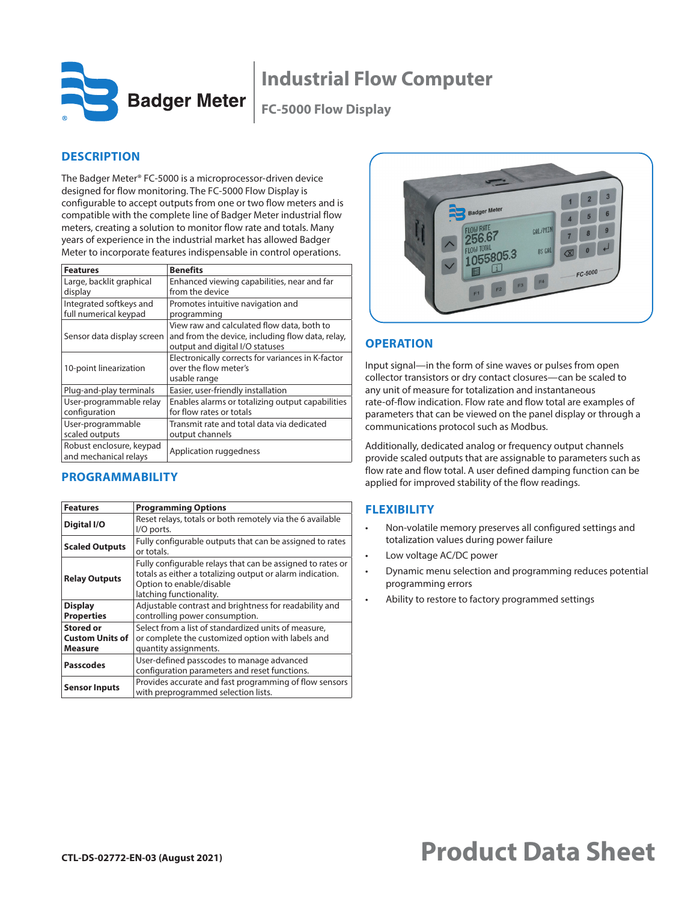

**Badger Meter** 

**FC-5000 Flow Display**

# **DESCRIPTION**

The Badger Meter® FC-5000 is a microprocessor-driven device designed for flow monitoring. The FC-5000 Flow Display is configurable to accept outputs from one or two flow meters and is compatible with the complete line of Badger Meter industrial flow meters, creating a solution to monitor flow rate and totals. Many years of experience in the industrial market has allowed Badger Meter to incorporate features indispensable in control operations.

| <b>Features</b>                                   | <b>Benefits</b>                                                                                                                   |
|---------------------------------------------------|-----------------------------------------------------------------------------------------------------------------------------------|
| Large, backlit graphical<br>display               | Enhanced viewing capabilities, near and far<br>from the device                                                                    |
| Integrated softkeys and<br>full numerical keypad  | Promotes intuitive navigation and<br>programming                                                                                  |
| Sensor data display screen                        | View raw and calculated flow data, both to<br>and from the device, including flow data, relay,<br>output and digital I/O statuses |
| 10-point linearization                            | Electronically corrects for variances in K-factor<br>over the flow meter's<br>usable range                                        |
| Plug-and-play terminals                           | Easier, user-friendly installation                                                                                                |
| User-programmable relay<br>configuration          | Enables alarms or totalizing output capabilities<br>for flow rates or totals                                                      |
| User-programmable<br>scaled outputs               | Transmit rate and total data via dedicated<br>output channels                                                                     |
| Robust enclosure, keypad<br>and mechanical relays | Application ruggedness                                                                                                            |

### **PROGRAMMABILITY**

| <b>Features</b>                                       | <b>Programming Options</b>                                                                                                                                                     |
|-------------------------------------------------------|--------------------------------------------------------------------------------------------------------------------------------------------------------------------------------|
| Digital I/O                                           | Reset relays, totals or both remotely via the 6 available<br>I/O ports.                                                                                                        |
| <b>Scaled Outputs</b>                                 | Fully configurable outputs that can be assigned to rates<br>or totals.                                                                                                         |
| <b>Relay Outputs</b>                                  | Fully configurable relays that can be assigned to rates or<br>totals as either a totalizing output or alarm indication.<br>Option to enable/disable<br>latching functionality. |
| <b>Display</b><br><b>Properties</b>                   | Adjustable contrast and brightness for readability and<br>controlling power consumption.                                                                                       |
| <b>Stored or</b><br><b>Custom Units of</b><br>Measure | Select from a list of standardized units of measure,<br>or complete the customized option with labels and<br>quantity assignments.                                             |
| <b>Passcodes</b>                                      | User-defined passcodes to manage advanced<br>configuration parameters and reset functions.                                                                                     |
| <b>Sensor Inputs</b>                                  | Provides accurate and fast programming of flow sensors<br>with preprogrammed selection lists.                                                                                  |



## **OPERATION**

Input signal—in the form of sine waves or pulses from open collector transistors or dry contact closures—can be scaled to any unit of measure for totalization and instantaneous rate-of-flow indication. Flow rate and flow total are examples of parameters that can be viewed on the panel display or through a communications protocol such as Modbus.

Additionally, dedicated analog or frequency output channels provide scaled outputs that are assignable to parameters such as flow rate and flow total. A user defined damping function can be applied for improved stability of the flow readings.

# **FLEXIBILITY**

- Non-volatile memory preserves all configured settings and totalization values during power failure
- Low voltage AC/DC power
- Dynamic menu selection and programming reduces potential programming errors
- Ability to restore to factory programmed settings

# **CTL-DS-02772-EN-03 (August 2021) Product Data Sheet**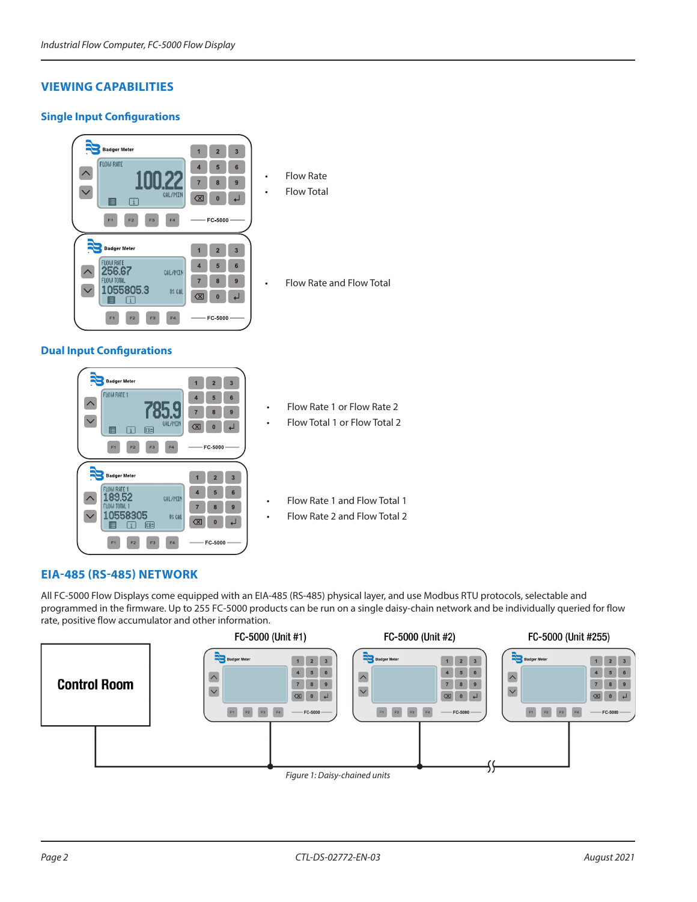## **VIEWING CAPABILITIES**

#### **Single Input Configurations**



- **Flow Total**
- Flow Rate and Flow Total

# **Dual Input Configurations**



- Flow Rate 1 or Flow Rate 2
- Flow Total 1 or Flow Total 2

• Flow Rate 1 and Flow Total 1

• Flow Rate 2 and Flow Total 2

### **EIA-485 (RS-485) NETWORK**

All FC-5000 Flow Displays come equipped with an EIA-485 (RS-485) physical layer, and use Modbus RTU protocols, selectable and programmed in the firmware. Up to 255 FC-5000 products can be run on a single daisy-chain network and be individually queried for flow rate, positive flow accumulator and other information.

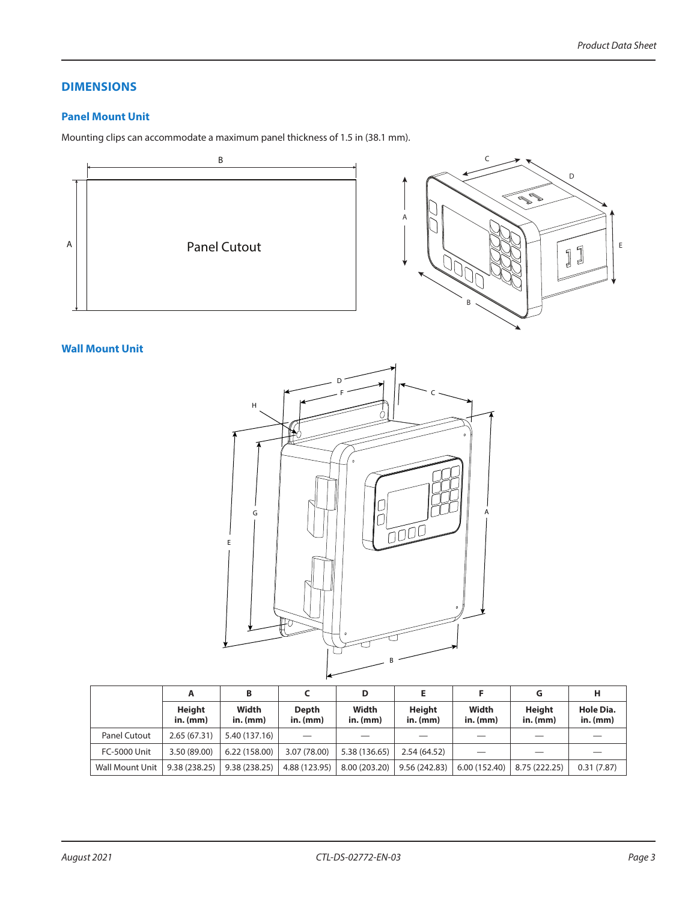## **DIMENSIONS**

#### **Panel Mount Unit**

Mounting clips can accommodate a maximum panel thickness of 1.5 in (38.1 mm).



#### **Wall Mount Unit**



|                        | А                           | B                   |                            | D                   |                      |                     |                      | н                       |
|------------------------|-----------------------------|---------------------|----------------------------|---------------------|----------------------|---------------------|----------------------|-------------------------|
|                        | <b>Height</b><br>$in.$ (mm) | Width<br>$in.$ (mm) | <b>Depth</b><br>$in.$ (mm) | Width<br>$in.$ (mm) | Height<br>$in.$ (mm) | Width<br>$in.$ (mm) | Height<br>$in.$ (mm) | Hole Dia.<br>$in.$ (mm) |
| Panel Cutout           | 2.65(67.31)                 | 5.40 (137.16)       |                            |                     |                      |                     |                      |                         |
| <b>FC-5000 Unit</b>    | 3.50 (89.00)                | 6.22 (158.00)       | 3.07 (78.00)               | 5.38 (136.65)       | 2.54 (64.52)         |                     |                      |                         |
| <b>Wall Mount Unit</b> | 9.38(238.25)                | 9.38(238.25)        | 4.88 (123.95)              | 8.00 (203.20)       | 9.56 (242.83)        | 6.00 (152.40)       | 8.75 (222.25)        | 0.31(7.87)              |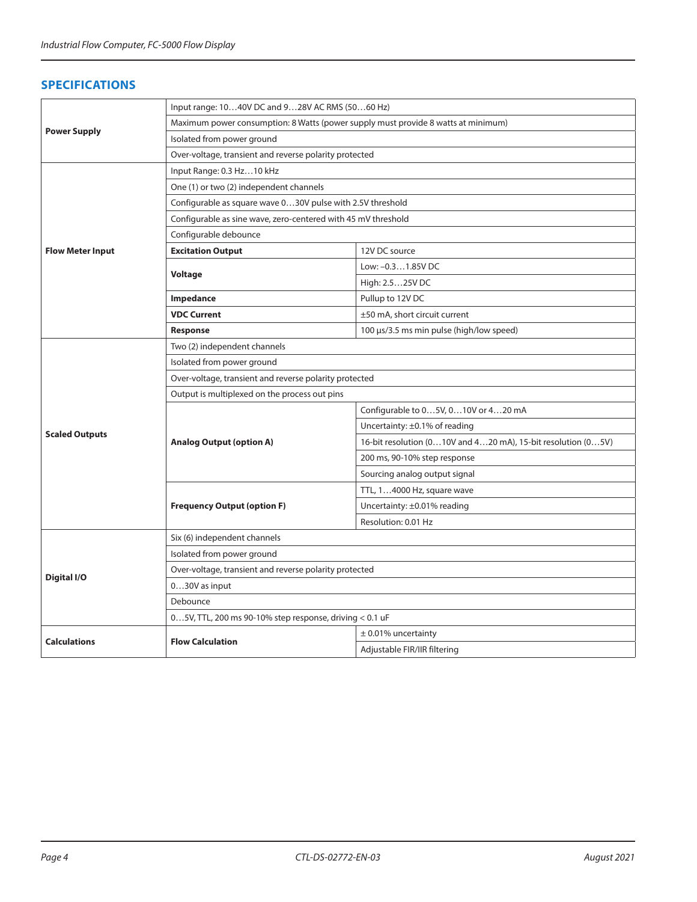### **SPECIFICATIONS**

|                         | Input range: 1040V DC and 928V AC RMS (5060 Hz)                                   |                                                              |  |  |  |  |  |
|-------------------------|-----------------------------------------------------------------------------------|--------------------------------------------------------------|--|--|--|--|--|
|                         | Maximum power consumption: 8 Watts (power supply must provide 8 watts at minimum) |                                                              |  |  |  |  |  |
| <b>Power Supply</b>     | Isolated from power ground                                                        |                                                              |  |  |  |  |  |
|                         | Over-voltage, transient and reverse polarity protected                            |                                                              |  |  |  |  |  |
|                         | Input Range: 0.3 Hz10 kHz                                                         |                                                              |  |  |  |  |  |
|                         | One (1) or two (2) independent channels                                           |                                                              |  |  |  |  |  |
|                         | Configurable as square wave 030V pulse with 2.5V threshold                        |                                                              |  |  |  |  |  |
|                         | Configurable as sine wave, zero-centered with 45 mV threshold                     |                                                              |  |  |  |  |  |
|                         | Configurable debounce                                                             |                                                              |  |  |  |  |  |
| <b>Flow Meter Input</b> | <b>Excitation Output</b>                                                          | 12V DC source                                                |  |  |  |  |  |
|                         |                                                                                   | Low: -0.31.85V DC                                            |  |  |  |  |  |
|                         | Voltage                                                                           | High: 2.525V DC                                              |  |  |  |  |  |
|                         | Impedance                                                                         | Pullup to 12V DC                                             |  |  |  |  |  |
|                         | <b>VDC Current</b>                                                                | ±50 mA, short circuit current                                |  |  |  |  |  |
|                         | <b>Response</b>                                                                   | 100 µs/3.5 ms min pulse (high/low speed)                     |  |  |  |  |  |
|                         | Two (2) independent channels                                                      |                                                              |  |  |  |  |  |
|                         | Isolated from power ground                                                        |                                                              |  |  |  |  |  |
|                         | Over-voltage, transient and reverse polarity protected                            |                                                              |  |  |  |  |  |
|                         | Output is multiplexed on the process out pins                                     |                                                              |  |  |  |  |  |
|                         |                                                                                   | Configurable to 05V, 010V or 420 mA                          |  |  |  |  |  |
| <b>Scaled Outputs</b>   |                                                                                   | Uncertainty: ±0.1% of reading                                |  |  |  |  |  |
|                         | <b>Analog Output (option A)</b>                                                   | 16-bit resolution (010V and 420 mA), 15-bit resolution (05V) |  |  |  |  |  |
|                         |                                                                                   | 200 ms, 90-10% step response                                 |  |  |  |  |  |
|                         |                                                                                   | Sourcing analog output signal                                |  |  |  |  |  |
|                         |                                                                                   | TTL, 14000 Hz, square wave                                   |  |  |  |  |  |
|                         | <b>Frequency Output (option F)</b>                                                | Uncertainty: ±0.01% reading                                  |  |  |  |  |  |
|                         |                                                                                   | Resolution: 0.01 Hz                                          |  |  |  |  |  |
|                         | Six (6) independent channels                                                      |                                                              |  |  |  |  |  |
|                         | Isolated from power ground                                                        |                                                              |  |  |  |  |  |
| Digital I/O             | Over-voltage, transient and reverse polarity protected                            |                                                              |  |  |  |  |  |
|                         | 030V as input                                                                     |                                                              |  |  |  |  |  |
|                         | Debounce                                                                          |                                                              |  |  |  |  |  |
|                         | $05V$ , TTL, 200 ms 90-10% step response, driving < 0.1 uF                        |                                                              |  |  |  |  |  |
| <b>Calculations</b>     | <b>Flow Calculation</b>                                                           | $\pm$ 0.01% uncertainty                                      |  |  |  |  |  |
|                         |                                                                                   | Adjustable FIR/IIR filtering                                 |  |  |  |  |  |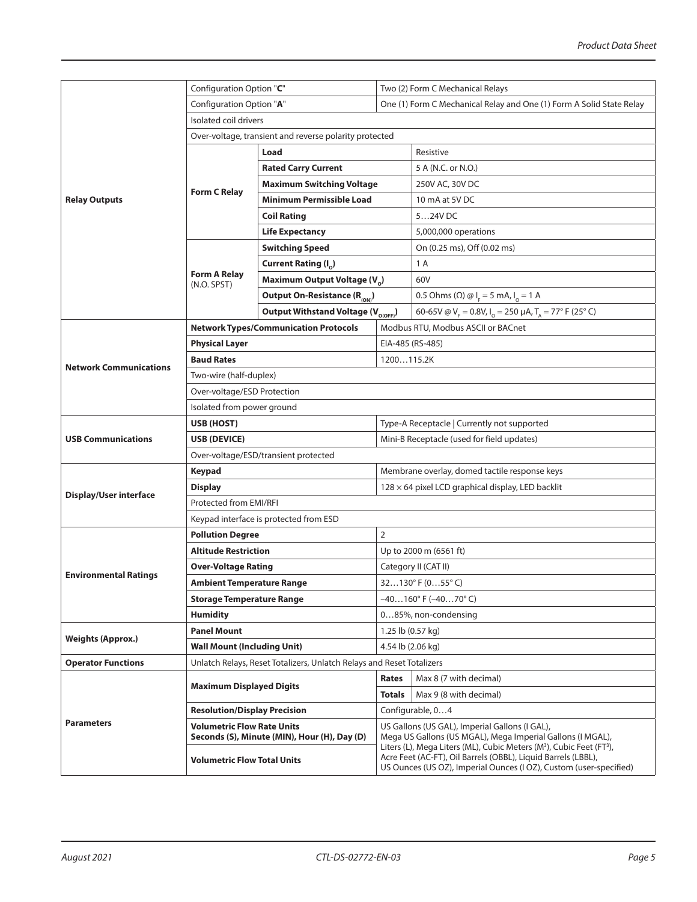|                               | Configuration Option "C"                     |                                                                       | Two (2) Form C Mechanical Relays                                                                                                                                                                                                    |                                                                        |  |  |  |
|-------------------------------|----------------------------------------------|-----------------------------------------------------------------------|-------------------------------------------------------------------------------------------------------------------------------------------------------------------------------------------------------------------------------------|------------------------------------------------------------------------|--|--|--|
| Configuration Option "A"      |                                              | One (1) Form C Mechanical Relay and One (1) Form A Solid State Relay  |                                                                                                                                                                                                                                     |                                                                        |  |  |  |
|                               | Isolated coil drivers                        |                                                                       |                                                                                                                                                                                                                                     |                                                                        |  |  |  |
|                               |                                              | Over-voltage, transient and reverse polarity protected                |                                                                                                                                                                                                                                     |                                                                        |  |  |  |
| <b>Relay Outputs</b>          | Load                                         |                                                                       |                                                                                                                                                                                                                                     | Resistive                                                              |  |  |  |
|                               |                                              | <b>Rated Carry Current</b>                                            |                                                                                                                                                                                                                                     | 5 A (N.C. or N.O.)                                                     |  |  |  |
|                               |                                              | <b>Maximum Switching Voltage</b>                                      |                                                                                                                                                                                                                                     | 250V AC, 30V DC                                                        |  |  |  |
|                               | <b>Form C Relay</b>                          | <b>Minimum Permissible Load</b>                                       |                                                                                                                                                                                                                                     | 10 mA at 5V DC                                                         |  |  |  |
|                               |                                              | <b>Coil Rating</b>                                                    |                                                                                                                                                                                                                                     | 524V DC                                                                |  |  |  |
|                               |                                              | <b>Life Expectancy</b>                                                |                                                                                                                                                                                                                                     | 5,000,000 operations                                                   |  |  |  |
|                               |                                              | <b>Switching Speed</b>                                                |                                                                                                                                                                                                                                     | On (0.25 ms), Off (0.02 ms)                                            |  |  |  |
|                               |                                              | Current Rating $(I_0)$                                                |                                                                                                                                                                                                                                     | 1 A                                                                    |  |  |  |
|                               | <b>Form A Relay</b><br>(N.O. SPST)           | Maximum Output Voltage (V <sub>o</sub> )                              |                                                                                                                                                                                                                                     | 60V                                                                    |  |  |  |
|                               |                                              | Output On-Resistance (R <sub>(ON)</sub> )                             |                                                                                                                                                                                                                                     | 0.5 Ohms (Ω) @ $I_F = 5$ mA, $I_o = 1$ A                               |  |  |  |
|                               |                                              | Output Withstand Voltage (V <sub>O(OFF)</sub> )                       |                                                                                                                                                                                                                                     | 60-65V @ $V_F = 0.8V$ , $I_o = 250 \mu A$ , $T_A = 77^\circ$ F (25° C) |  |  |  |
|                               | <b>Network Types/Communication Protocols</b> |                                                                       |                                                                                                                                                                                                                                     | Modbus RTU, Modbus ASCII or BACnet                                     |  |  |  |
|                               | <b>Physical Layer</b>                        |                                                                       |                                                                                                                                                                                                                                     | EIA-485 (RS-485)                                                       |  |  |  |
| <b>Network Communications</b> | <b>Baud Rates</b>                            |                                                                       |                                                                                                                                                                                                                                     | 1200115.2K                                                             |  |  |  |
|                               | Two-wire (half-duplex)                       |                                                                       |                                                                                                                                                                                                                                     |                                                                        |  |  |  |
|                               | Over-voltage/ESD Protection                  |                                                                       |                                                                                                                                                                                                                                     |                                                                        |  |  |  |
|                               | Isolated from power ground                   |                                                                       |                                                                                                                                                                                                                                     |                                                                        |  |  |  |
|                               | USB (HOST)                                   |                                                                       |                                                                                                                                                                                                                                     | Type-A Receptacle   Currently not supported                            |  |  |  |
| <b>USB Communications</b>     | USB (DEVICE)                                 |                                                                       |                                                                                                                                                                                                                                     | Mini-B Receptacle (used for field updates)                             |  |  |  |
|                               | Over-voltage/ESD/transient protected         |                                                                       |                                                                                                                                                                                                                                     |                                                                        |  |  |  |
|                               | <b>Keypad</b>                                |                                                                       |                                                                                                                                                                                                                                     | Membrane overlay, domed tactile response keys                          |  |  |  |
| <b>Display/User interface</b> | <b>Display</b>                               |                                                                       |                                                                                                                                                                                                                                     | $128 \times 64$ pixel LCD graphical display, LED backlit               |  |  |  |
|                               |                                              | Protected from EMI/RFI                                                |                                                                                                                                                                                                                                     |                                                                        |  |  |  |
|                               |                                              | Keypad interface is protected from ESD                                |                                                                                                                                                                                                                                     |                                                                        |  |  |  |
|                               | <b>Pollution Degree</b>                      |                                                                       | $\overline{2}$                                                                                                                                                                                                                      |                                                                        |  |  |  |
|                               | <b>Altitude Restriction</b>                  |                                                                       | Up to 2000 m (6561 ft)                                                                                                                                                                                                              |                                                                        |  |  |  |
| <b>Environmental Ratings</b>  | <b>Over-Voltage Rating</b>                   |                                                                       | Category II (CAT II)                                                                                                                                                                                                                |                                                                        |  |  |  |
|                               | Ambient Temperature Range                    |                                                                       | $32130^{\circ}$ F (055° C)                                                                                                                                                                                                          |                                                                        |  |  |  |
|                               | <b>Storage Temperature Range</b>             |                                                                       | $-40160$ °F $(-4070$ °C)                                                                                                                                                                                                            |                                                                        |  |  |  |
|                               | <b>Humidity</b>                              |                                                                       |                                                                                                                                                                                                                                     | 085%, non-condensing                                                   |  |  |  |
| <b>Weights (Approx.)</b>      | <b>Panel Mount</b>                           |                                                                       | 1.25 lb (0.57 kg)                                                                                                                                                                                                                   |                                                                        |  |  |  |
|                               | <b>Wall Mount (Including Unit)</b>           |                                                                       | 4.54 lb (2.06 kg)                                                                                                                                                                                                                   |                                                                        |  |  |  |
| <b>Operator Functions</b>     |                                              | Unlatch Relays, Reset Totalizers, Unlatch Relays and Reset Totalizers |                                                                                                                                                                                                                                     | Max 8 (7 with decimal)                                                 |  |  |  |
|                               | <b>Maximum Displayed Digits</b>              |                                                                       | Rates                                                                                                                                                                                                                               |                                                                        |  |  |  |
|                               | <b>Resolution/Display Precision</b>          |                                                                       | Max 9 (8 with decimal)<br><b>Totals</b><br>Configurable, 04                                                                                                                                                                         |                                                                        |  |  |  |
| <b>Parameters</b>             | <b>Volumetric Flow Rate Units</b>            |                                                                       | US Gallons (US GAL), Imperial Gallons (I GAL),                                                                                                                                                                                      |                                                                        |  |  |  |
|                               |                                              | Seconds (S), Minute (MIN), Hour (H), Day (D)                          | Mega US Gallons (US MGAL), Mega Imperial Gallons (I MGAL),                                                                                                                                                                          |                                                                        |  |  |  |
|                               | <b>Volumetric Flow Total Units</b>           |                                                                       | Liters (L), Mega Liters (ML), Cubic Meters (M <sup>3</sup> ), Cubic Feet (FT <sup>3</sup> ),<br>Acre Feet (AC-FT), Oil Barrels (OBBL), Liquid Barrels (LBBL),<br>US Ounces (US OZ), Imperial Ounces (I OZ), Custom (user-specified) |                                                                        |  |  |  |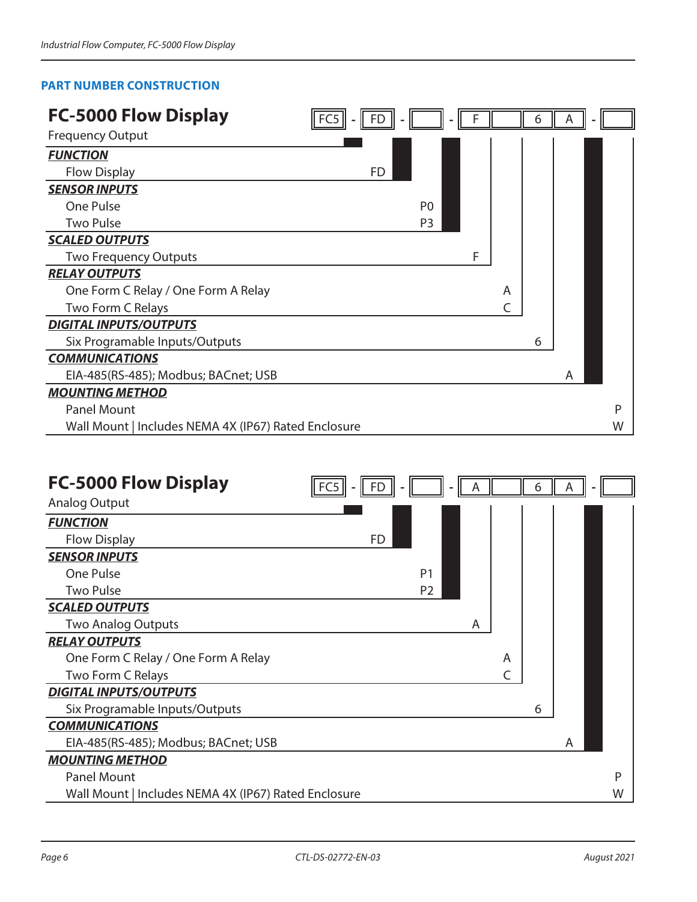# **PART NUMBER CONSTRUCTION**

| <b>FC-5000 Flow Display</b>                          | FD             |   |   | 6 |   |   |
|------------------------------------------------------|----------------|---|---|---|---|---|
| <b>Frequency Output</b>                              |                |   |   |   |   |   |
| <b>FUNCTION</b>                                      |                |   |   |   |   |   |
| <b>Flow Display</b>                                  | FD             |   |   |   |   |   |
| <b>SENSOR INPUTS</b>                                 |                |   |   |   |   |   |
| One Pulse                                            | P <sub>0</sub> |   |   |   |   |   |
| <b>Two Pulse</b>                                     | P <sub>3</sub> |   |   |   |   |   |
| <b>SCALED OUTPUTS</b>                                |                |   |   |   |   |   |
| <b>Two Frequency Outputs</b>                         |                | F |   |   |   |   |
| <b>RELAY OUTPUTS</b>                                 |                |   |   |   |   |   |
| One Form C Relay / One Form A Relay                  |                |   | A |   |   |   |
| Two Form C Relays                                    |                |   |   |   |   |   |
| <b>DIGITAL INPUTS/OUTPUTS</b>                        |                |   |   |   |   |   |
| Six Programable Inputs/Outputs                       |                |   |   | 6 |   |   |
| <b>COMMUNICATIONS</b>                                |                |   |   |   |   |   |
| EIA-485(RS-485); Modbus; BACnet; USB                 |                |   |   |   | A |   |
| <b>MOUNTING METHOD</b>                               |                |   |   |   |   |   |
| <b>Panel Mount</b>                                   |                |   |   |   |   | P |
| Wall Mount   Includes NEMA 4X (IP67) Rated Enclosure |                |   |   |   |   | W |

| <b>FC-5000 Flow Display</b>                          |    |                |   |   |   |   |   |
|------------------------------------------------------|----|----------------|---|---|---|---|---|
|                                                      |    |                |   |   | 6 |   |   |
| <b>Analog Output</b>                                 |    |                |   |   |   |   |   |
| <b>FUNCTION</b>                                      |    |                |   |   |   |   |   |
| <b>Flow Display</b>                                  | FD |                |   |   |   |   |   |
| <b>SENSOR INPUTS</b>                                 |    |                |   |   |   |   |   |
| One Pulse                                            |    | P <sub>1</sub> |   |   |   |   |   |
| <b>Two Pulse</b>                                     |    | P <sub>2</sub> |   |   |   |   |   |
| <b>SCALED OUTPUTS</b>                                |    |                |   |   |   |   |   |
| <b>Two Analog Outputs</b>                            |    |                | Α |   |   |   |   |
| <b>RELAY OUTPUTS</b>                                 |    |                |   |   |   |   |   |
| One Form C Relay / One Form A Relay                  |    |                |   | A |   |   |   |
| Two Form C Relays                                    |    |                |   |   |   |   |   |
| <b>DIGITAL INPUTS/OUTPUTS</b>                        |    |                |   |   |   |   |   |
| Six Programable Inputs/Outputs                       |    |                |   |   | 6 |   |   |
| <b>COMMUNICATIONS</b>                                |    |                |   |   |   |   |   |
| EIA-485(RS-485); Modbus; BACnet; USB                 |    |                |   |   |   | Α |   |
| <b>MOUNTING METHOD</b>                               |    |                |   |   |   |   |   |
| <b>Panel Mount</b>                                   |    |                |   |   |   |   | P |
| Wall Mount   Includes NEMA 4X (IP67) Rated Enclosure |    |                |   |   |   |   | W |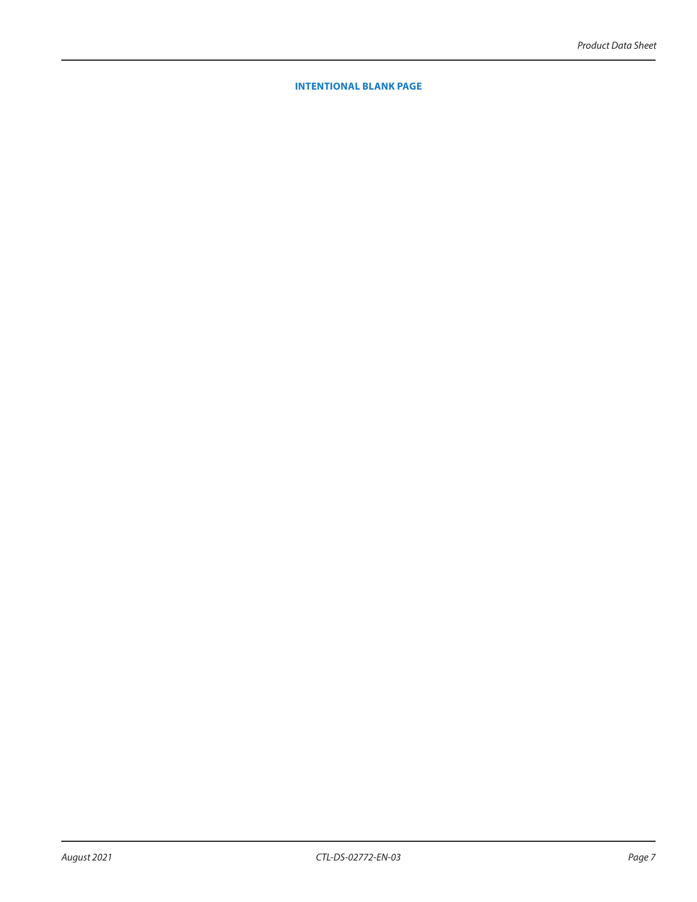#### **INTENTIONAL BLANK PAGE**